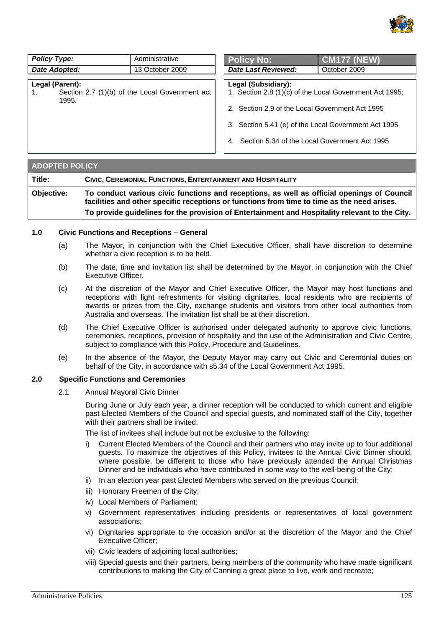

| <b>Policy Type:</b>                                                        | Administrative  | <b>Policy No:</b>                                                                                                                                                                                                                             | <b>CM177 (NEW)</b> |
|----------------------------------------------------------------------------|-----------------|-----------------------------------------------------------------------------------------------------------------------------------------------------------------------------------------------------------------------------------------------|--------------------|
| Date Adopted:                                                              | 13 October 2009 | <b>Date Last Reviewed:</b>                                                                                                                                                                                                                    | October 2009       |
| Legal (Parent):<br>Section 2.7 (1)(b) of the Local Government act<br>1995. |                 | Legal (Subsidiary):<br>1. Section 2.8 (1)(c) of the Local Government Act 1995;<br>2. Section 2.9 of the Local Government Act 1995<br>3. Section 5.41 (e) of the Local Government Act 1995<br>4. Section 5.34 of the Local Government Act 1995 |                    |

| <b>ADOPTED POLICY</b> |                                                                                                                                                                                           |  |
|-----------------------|-------------------------------------------------------------------------------------------------------------------------------------------------------------------------------------------|--|
| Title:                | CIVIC, CEREMONIAL FUNCTIONS, ENTERTAINMENT AND HOSPITALITY                                                                                                                                |  |
| Objective:            | To conduct various civic functions and receptions, as well as official openings of Council<br>facilities and other specific receptions or functions from time to time as the need arises. |  |
|                       | To provide guidelines for the provision of Entertainment and Hospitality relevant to the City.                                                                                            |  |

### **1.0 Civic Functions and Receptions – General**

- (a) The Mayor, in conjunction with the Chief Executive Officer, shall have discretion to determine whether a civic reception is to be held.
- (b) The date, time and invitation list shall be determined by the Mayor, in conjunction with the Chief Executive Officer.
- (c) At the discretion of the Mayor and Chief Executive Officer, the Mayor may host functions and receptions with light refreshments for visiting dignitaries, local residents who are recipients of awards or prizes from the City, exchange students and visitors from other local authorities from Australia and overseas. The invitation list shall be at their discretion.
- (d) The Chief Executive Officer is authorised under delegated authority to approve civic functions, ceremonies, receptions, provision of hospitality and the use of the Administration and Civic Centre, subject to compliance with this Policy, Procedure and Guidelines.
- (e) In the absence of the Mayor, the Deputy Mayor may carry out Civic and Ceremonial duties on behalf of the City, in accordance with s5.34 of the Local Government Act 1995.

# **2.0 Specific Functions and Ceremonies**

2.1 Annual Mayoral Civic Dinner

During June or July each year, a dinner reception will be conducted to which current and eligible past Elected Members of the Council and special guests, and nominated staff of the City, together with their partners shall be invited.

The list of invitees shall include but not be exclusive to the following:

- i) Current Elected Members of the Council and their partners who may invite up to four additional guests. To maximize the objectives of this Policy, invitees to the Annual Civic Dinner should, where possible, be different to those who have previously attended the Annual Christmas Dinner and be individuals who have contributed in some way to the well-being of the City;
- ii) In an election year past Elected Members who served on the previous Council;
- iii) Honorary Freemen of the City;
- iv) Local Members of Parliament;
- v) Government representatives including presidents or representatives of local government associations;
- vi) Dignitaries appropriate to the occasion and/or at the discretion of the Mayor and the Chief Executive Officer;
- vii) Civic leaders of adjoining local authorities;
- viii) Special guests and their partners, being members of the community who have made significant contributions to making the City of Canning a great place to live, work and recreate;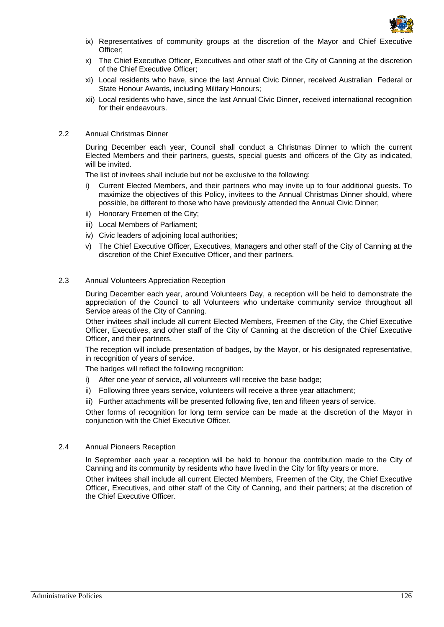

- ix) Representatives of community groups at the discretion of the Mayor and Chief Executive Officer;
- x) The Chief Executive Officer, Executives and other staff of the City of Canning at the discretion of the Chief Executive Officer;
- xi) Local residents who have, since the last Annual Civic Dinner, received Australian Federal or State Honour Awards, including Military Honours;
- xii) Local residents who have, since the last Annual Civic Dinner, received international recognition for their endeavours.

## 2.2 Annual Christmas Dinner

During December each year, Council shall conduct a Christmas Dinner to which the current Elected Members and their partners, guests, special guests and officers of the City as indicated, will be invited.

The list of invitees shall include but not be exclusive to the following:

- i) Current Elected Members, and their partners who may invite up to four additional guests. To maximize the objectives of this Policy, invitees to the Annual Christmas Dinner should, where possible, be different to those who have previously attended the Annual Civic Dinner;
- ii) Honorary Freemen of the City;
- iii) Local Members of Parliament;
- iv) Civic leaders of adjoining local authorities;
- v) The Chief Executive Officer, Executives, Managers and other staff of the City of Canning at the discretion of the Chief Executive Officer, and their partners.

### 2.3 Annual Volunteers Appreciation Reception

During December each year, around Volunteers Day, a reception will be held to demonstrate the appreciation of the Council to all Volunteers who undertake community service throughout all Service areas of the City of Canning.

Other invitees shall include all current Elected Members, Freemen of the City, the Chief Executive Officer, Executives, and other staff of the City of Canning at the discretion of the Chief Executive Officer, and their partners.

The reception will include presentation of badges, by the Mayor, or his designated representative, in recognition of years of service.

The badges will reflect the following recognition:

- i) After one year of service, all volunteers will receive the base badge;
- ii) Following three years service, volunteers will receive a three year attachment;

iii) Further attachments will be presented following five, ten and fifteen years of service.

Other forms of recognition for long term service can be made at the discretion of the Mayor in conjunction with the Chief Executive Officer.

## 2.4 Annual Pioneers Reception

In September each year a reception will be held to honour the contribution made to the City of Canning and its community by residents who have lived in the City for fifty years or more.

Other invitees shall include all current Elected Members, Freemen of the City, the Chief Executive Officer, Executives, and other staff of the City of Canning, and their partners; at the discretion of the Chief Executive Officer.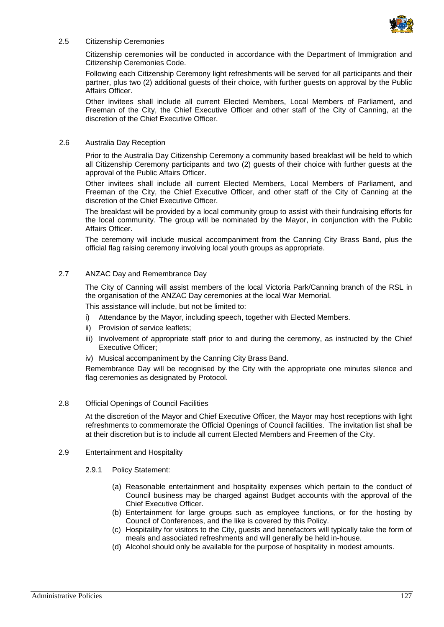

#### 2.5 Citizenship Ceremonies

Citizenship ceremonies will be conducted in accordance with the Department of Immigration and Citizenship Ceremonies Code.

Following each Citizenship Ceremony light refreshments will be served for all participants and their partner, plus two (2) additional guests of their choice, with further guests on approval by the Public Affairs Officer.

Other invitees shall include all current Elected Members, Local Members of Parliament, and Freeman of the City, the Chief Executive Officer and other staff of the City of Canning, at the discretion of the Chief Executive Officer.

### 2.6 Australia Day Reception

Prior to the Australia Day Citizenship Ceremony a community based breakfast will be held to which all Citizenship Ceremony participants and two (2) guests of their choice with further guests at the approval of the Public Affairs Officer.

Other invitees shall include all current Elected Members, Local Members of Parliament, and Freeman of the City, the Chief Executive Officer, and other staff of the City of Canning at the discretion of the Chief Executive Officer.

The breakfast will be provided by a local community group to assist with their fundraising efforts for the local community. The group will be nominated by the Mayor, in conjunction with the Public Affairs Officer.

The ceremony will include musical accompaniment from the Canning City Brass Band, plus the official flag raising ceremony involving local youth groups as appropriate.

### 2.7 ANZAC Day and Remembrance Day

The City of Canning will assist members of the local Victoria Park/Canning branch of the RSL in the organisation of the ANZAC Day ceremonies at the local War Memorial.

This assistance will include, but not be limited to:

- i) Attendance by the Mayor, including speech, together with Elected Members.
- ii) Provision of service leaflets;
- iii) Involvement of appropriate staff prior to and during the ceremony, as instructed by the Chief Executive Officer;
- iv) Musical accompaniment by the Canning City Brass Band.

Remembrance Day will be recognised by the City with the appropriate one minutes silence and flag ceremonies as designated by Protocol.

### 2.8 Official Openings of Council Facilities

At the discretion of the Mayor and Chief Executive Officer, the Mayor may host receptions with light refreshments to commemorate the Official Openings of Council facilities. The invitation list shall be at their discretion but is to include all current Elected Members and Freemen of the City.

### 2.9 Entertainment and Hospitality

2.9.1 Policy Statement:

- (a) Reasonable entertainment and hospitality expenses which pertain to the conduct of Council business may be charged against Budget accounts with the approval of the Chief Executive Officer.
- (b) Entertainment for large groups such as employee functions, or for the hosting by Council of Conferences, and the like is covered by this Policy.
- (c) Hospitaility for visitors to the City, guests and benefactors will typlcally take the form of meals and associated refreshments and will generally be held in-house.
- (d) Alcohol should only be available for the purpose of hospitality in modest amounts.